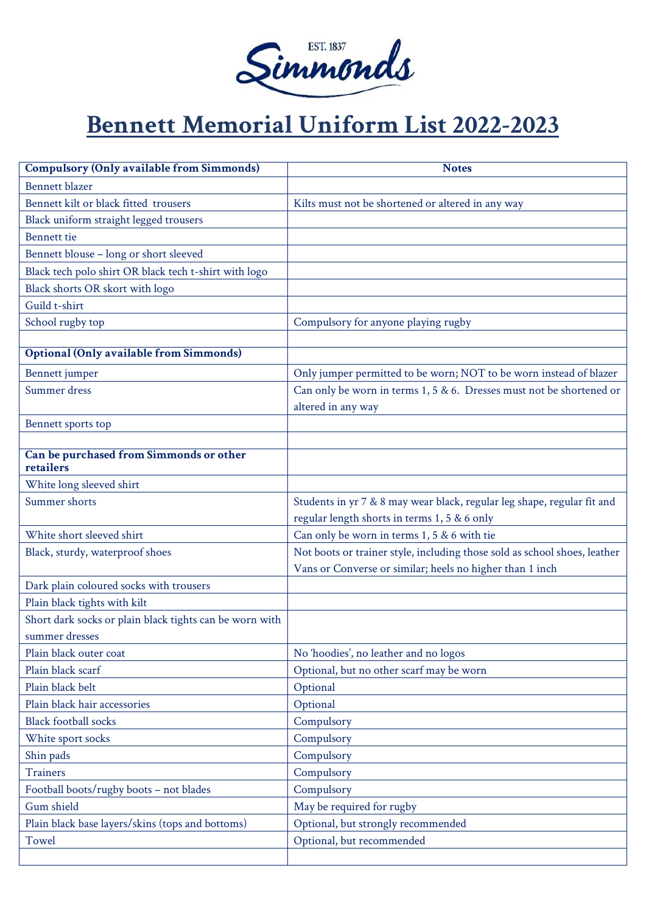

## **Bennett Memorial Uniform List 2022-2023**

| <b>Compulsory (Only available from Simmonds)</b>        | <b>Notes</b>                                                              |
|---------------------------------------------------------|---------------------------------------------------------------------------|
| <b>Bennett blazer</b>                                   |                                                                           |
| Bennett kilt or black fitted trousers                   | Kilts must not be shortened or altered in any way                         |
| Black uniform straight legged trousers                  |                                                                           |
| Bennett tie                                             |                                                                           |
| Bennett blouse - long or short sleeved                  |                                                                           |
| Black tech polo shirt OR black tech t-shirt with logo   |                                                                           |
| Black shorts OR skort with logo                         |                                                                           |
| Guild t-shirt                                           |                                                                           |
| School rugby top                                        | Compulsory for anyone playing rugby                                       |
|                                                         |                                                                           |
| <b>Optional (Only available from Simmonds)</b>          |                                                                           |
| Bennett jumper                                          | Only jumper permitted to be worn; NOT to be worn instead of blazer        |
| Summer dress                                            | Can only be worn in terms 1, 5 & 6. Dresses must not be shortened or      |
|                                                         | altered in any way                                                        |
| Bennett sports top                                      |                                                                           |
|                                                         |                                                                           |
| Can be purchased from Simmonds or other                 |                                                                           |
| retailers                                               |                                                                           |
| White long sleeved shirt                                |                                                                           |
| Summer shorts                                           | Students in yr 7 & 8 may wear black, regular leg shape, regular fit and   |
|                                                         | regular length shorts in terms 1, 5 & 6 only                              |
| White short sleeved shirt                               | Can only be worn in terms 1, 5 & 6 with tie                               |
| Black, sturdy, waterproof shoes                         | Not boots or trainer style, including those sold as school shoes, leather |
|                                                         | Vans or Converse or similar; heels no higher than 1 inch                  |
| Dark plain coloured socks with trousers                 |                                                                           |
| Plain black tights with kilt                            |                                                                           |
| Short dark socks or plain black tights can be worn with |                                                                           |
| summer dresses                                          |                                                                           |
| Plain black outer coat                                  | No 'hoodies', no leather and no logos                                     |
| Plain black scarf                                       | Optional, but no other scarf may be worn                                  |
| Plain black belt                                        | Optional                                                                  |
| Plain black hair accessories                            | Optional                                                                  |
| <b>Black football socks</b>                             | Compulsory                                                                |
| White sport socks                                       | Compulsory                                                                |
| Shin pads                                               | Compulsory                                                                |
| <b>Trainers</b>                                         | Compulsory                                                                |
| Football boots/rugby boots - not blades                 | Compulsory                                                                |
| Gum shield                                              | May be required for rugby                                                 |
| Plain black base layers/skins (tops and bottoms)        | Optional, but strongly recommended                                        |
| Towel                                                   | Optional, but recommended                                                 |
|                                                         |                                                                           |